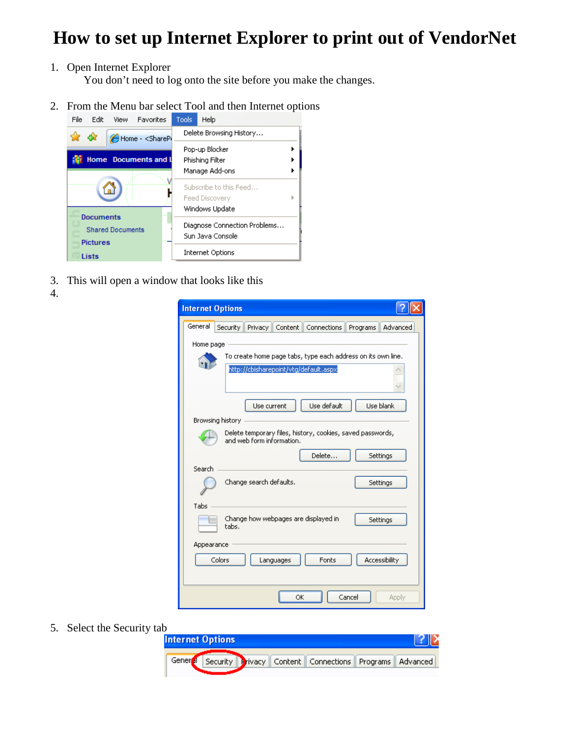## **How to set up Internet Explorer to print out of VendorNet**

1. Open Internet Explorer

You don't need to log onto the site before you make the changes.

2. From the Menu bar select Tool and then Internet options



- 3. This will open a window that looks like this
- 4.

| <b>Internet Options</b>                                                                               |  |
|-------------------------------------------------------------------------------------------------------|--|
| General<br>Security<br>Privacy<br>Content   Connections<br>Advanced<br>Programs                       |  |
| Home page                                                                                             |  |
| To create home page tabs, type each address on its own line.<br>http://cbisharepoint/vtg/default.aspx |  |
| Use default<br>Use blank<br>Use current                                                               |  |
| Browsing history                                                                                      |  |
| Delete temporary files, history, cookies, saved passwords,<br>and web form information.               |  |
| Delete<br>Settings                                                                                    |  |
| Search<br>Change search defaults.<br>Settings                                                         |  |
| Tabs                                                                                                  |  |
| Change how webpages are displayed in<br>Settings<br>tabs.                                             |  |
| Appearance                                                                                            |  |
| Accessibility<br>Colors<br>Fonts<br>Languages                                                         |  |
| Cancel<br>OK<br>Apply                                                                                 |  |

5. Select the Security tab<br>Internet Options

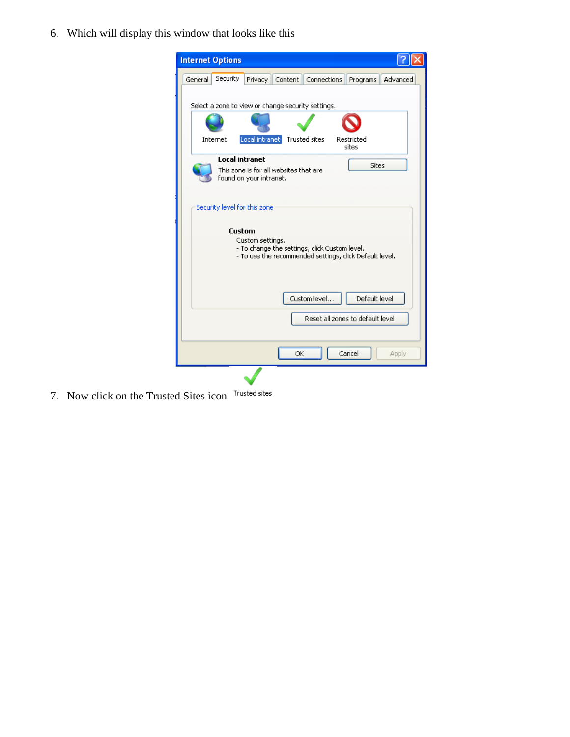6. Which will display this window that looks like this



7. Now click on the Trusted Sites icon Trusted sites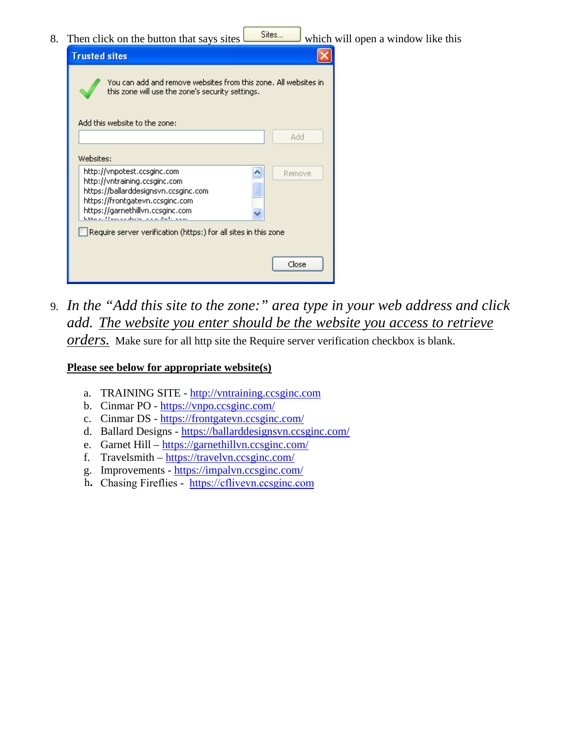8. Then click on the button that says sites which will open a window like this



9. *In the "Add this site to the zone:" area type in your web address and click add. The website you enter should be the website you access to retrieve orders.* Make sure for all http site the Require server verification checkbox is blank.

## **Please see below for appropriate website(s)**

- a. TRAINING SITE - [http://vntraining.ccsginc.com](http://vntraining.ccsginc.com/)
- b. Cinmar PO -<https://vnpo.ccsginc.com/>
- c. Cinmar DS -<https://frontgatevn.ccsginc.com/>
- d. Ballard Designs -<https://ballarddesignsvn.ccsginc.com/>
- e. Garnet Hill –<https://garnethillvn.ccsginc.com/>
- f. Travelsmith –<https://travelvn.ccsginc.com/>
- g. Improvements -<https://impalvn.ccsginc.com/>
- h. Chasing Fireflies [https://cflivevn.ccsginc.com](https://cflivevn.ccsginc.com/)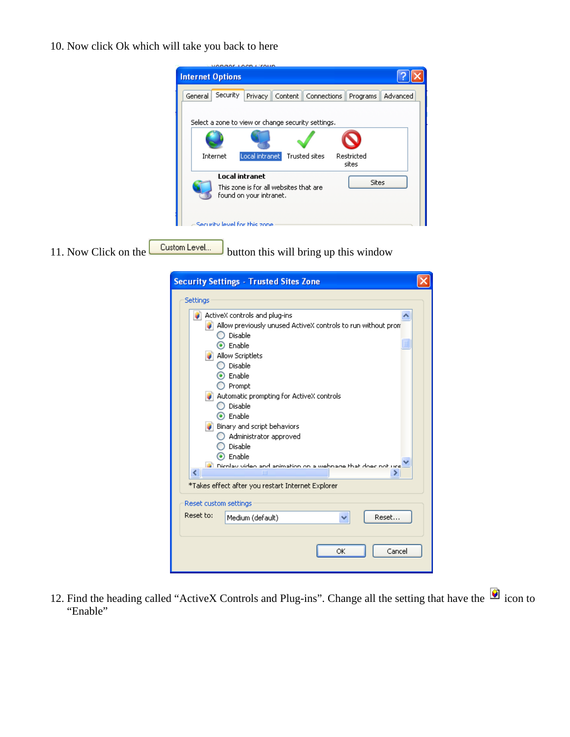10. Now click Ok which will take you back to here

| <b>VANAAL LACA L'IAUD</b><br><b>Internet Options</b>                                       |                      |
|--------------------------------------------------------------------------------------------|----------------------|
| Security<br>General<br>Connections<br>Privacy<br>Content                                   | Advanced<br>Programs |
| Select a zone to view or change security settings.                                         |                      |
|                                                                                            |                      |
| Trusted sites<br>Local intranet<br>Internet                                                | Restricted<br>sites  |
| <b>Local intranet</b><br>This zone is for all websites that are<br>found on your intranet. | Sites                |
| Security level for this zone                                                               |                      |

11. Now Click on the  $\sqrt{\frac{Custom \text{Level...}}{Custom \text{total}}}$  button this will bring up this window

| <b>Security Settings - Trusted Sites Zone</b>                                                                                                                                                                                                                                                                                                                                                                                     |
|-----------------------------------------------------------------------------------------------------------------------------------------------------------------------------------------------------------------------------------------------------------------------------------------------------------------------------------------------------------------------------------------------------------------------------------|
| Settings                                                                                                                                                                                                                                                                                                                                                                                                                          |
| ActiveX controls and plug-ins<br>Allow previously unused ActiveX controls to run without pron<br>Disable<br>$\odot$ Enable<br>Allow Scriptlets<br>◯ Disable<br>$\odot$ Enable<br>$\bigcirc$ Prompt<br>Automatic prompting for ActiveX controls<br>◯ Disable<br>⊙ Enable<br>$\bullet$ Binary and script behaviors<br>Administrator approved<br>Disable<br>Enable<br>all Dicolau video and animation on a webpage that does not use |
| ∢<br>ШI                                                                                                                                                                                                                                                                                                                                                                                                                           |
| *Takes effect after you restart Internet Explorer                                                                                                                                                                                                                                                                                                                                                                                 |
| Reset custom settings<br>Reset to:<br>Reset<br>Medium (default)                                                                                                                                                                                                                                                                                                                                                                   |
| Cancel<br>ОК                                                                                                                                                                                                                                                                                                                                                                                                                      |

12. Find the heading called "ActiveX Controls and Plug-ins". Change all the setting that have the  $\blacksquare$  icon to "Enable"